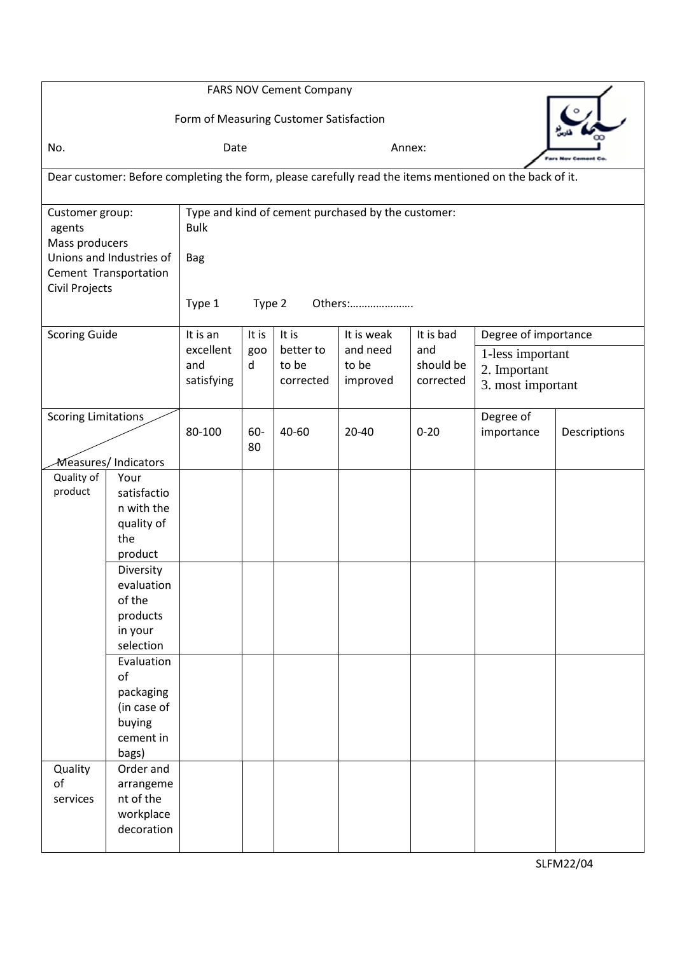| <b>FARS NOV Cement Company</b><br>Form of Measuring Customer Satisfaction                                          |                                                                                                                                                                                                      |                                                                                                                |           |                                 |                               |                               |                                                       |              |  |  |
|--------------------------------------------------------------------------------------------------------------------|------------------------------------------------------------------------------------------------------------------------------------------------------------------------------------------------------|----------------------------------------------------------------------------------------------------------------|-----------|---------------------------------|-------------------------------|-------------------------------|-------------------------------------------------------|--------------|--|--|
| No.                                                                                                                |                                                                                                                                                                                                      | Date                                                                                                           |           |                                 |                               | Annex:                        |                                                       |              |  |  |
| Dear customer: Before completing the form, please carefully read the items mentioned on the back of it.            |                                                                                                                                                                                                      |                                                                                                                |           |                                 |                               |                               |                                                       |              |  |  |
| Customer group:<br>agents<br>Mass producers<br>Unions and Industries of<br>Cement Transportation<br>Civil Projects |                                                                                                                                                                                                      | Type and kind of cement purchased by the customer:<br><b>Bulk</b><br><b>Bag</b><br>Type 1<br>Type 2<br>Others: |           |                                 |                               |                               |                                                       |              |  |  |
| <b>Scoring Guide</b>                                                                                               |                                                                                                                                                                                                      | It is an<br>It is<br>It is                                                                                     |           |                                 | It is weak                    | It is bad                     | Degree of importance                                  |              |  |  |
|                                                                                                                    |                                                                                                                                                                                                      | excellent<br>and<br>satisfying                                                                                 | goo<br>d  | better to<br>to be<br>corrected | and need<br>to be<br>improved | and<br>should be<br>corrected | 1-less important<br>2. Important<br>3. most important |              |  |  |
| <b>Scoring Limitations</b><br>Measures/Indicators                                                                  |                                                                                                                                                                                                      | 80-100                                                                                                         | 60-<br>80 | 40-60                           | 20-40                         | $0 - 20$                      | Degree of<br>importance                               | Descriptions |  |  |
| Quality of<br>product                                                                                              | Your<br>satisfactio<br>n with the<br>quality of<br>the<br>product<br>Diversity<br>evaluation<br>of the<br>products<br>in your<br>selection<br>Evaluation<br>of<br>packaging<br>(in case of<br>buying |                                                                                                                |           |                                 |                               |                               |                                                       |              |  |  |
|                                                                                                                    | cement in<br>bags)                                                                                                                                                                                   |                                                                                                                |           |                                 |                               |                               |                                                       |              |  |  |
| Quality<br>of<br>services                                                                                          | Order and<br>arrangeme<br>nt of the<br>workplace<br>decoration                                                                                                                                       |                                                                                                                |           |                                 |                               |                               |                                                       |              |  |  |

SLFM22/04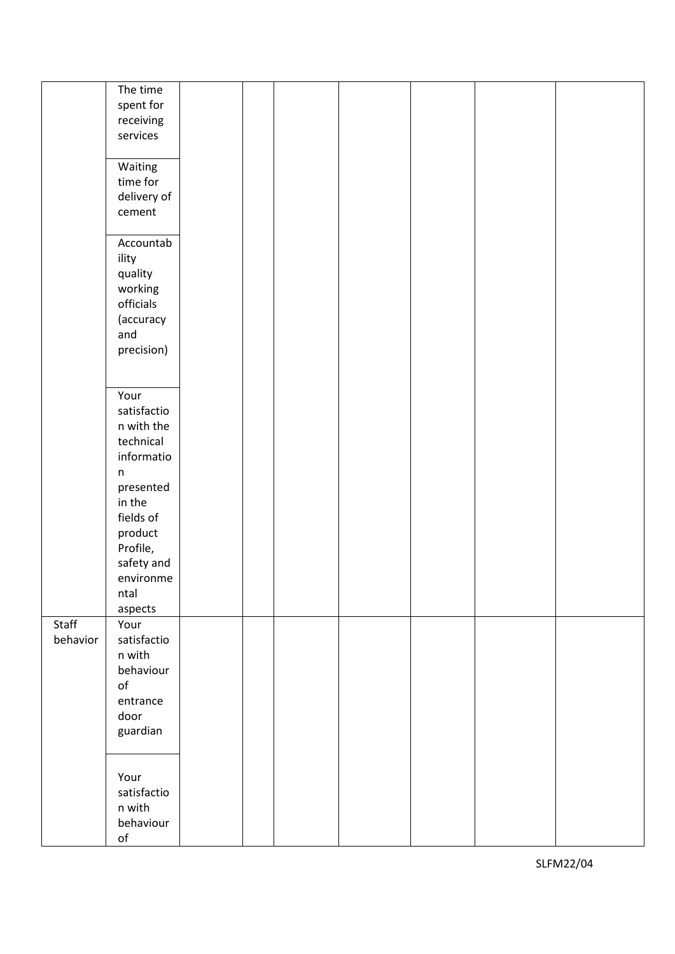|          | The time       |  |  |  |  |
|----------|----------------|--|--|--|--|
|          | spent for      |  |  |  |  |
|          | receiving      |  |  |  |  |
|          | services       |  |  |  |  |
|          |                |  |  |  |  |
|          |                |  |  |  |  |
|          | Waiting        |  |  |  |  |
|          | time for       |  |  |  |  |
|          | delivery of    |  |  |  |  |
|          | cement         |  |  |  |  |
|          |                |  |  |  |  |
|          |                |  |  |  |  |
|          | Accountab      |  |  |  |  |
|          | ility          |  |  |  |  |
|          | quality        |  |  |  |  |
|          | working        |  |  |  |  |
|          |                |  |  |  |  |
|          | officials      |  |  |  |  |
|          | (accuracy      |  |  |  |  |
|          | and            |  |  |  |  |
|          | precision)     |  |  |  |  |
|          |                |  |  |  |  |
|          |                |  |  |  |  |
|          |                |  |  |  |  |
|          | Your           |  |  |  |  |
|          | satisfactio    |  |  |  |  |
|          | n with the     |  |  |  |  |
|          | technical      |  |  |  |  |
|          | informatio     |  |  |  |  |
|          |                |  |  |  |  |
|          | $\mathsf n$    |  |  |  |  |
|          | presented      |  |  |  |  |
|          | in the         |  |  |  |  |
|          | fields of      |  |  |  |  |
|          | product        |  |  |  |  |
|          | Profile,       |  |  |  |  |
|          |                |  |  |  |  |
|          | safety and     |  |  |  |  |
|          | environme      |  |  |  |  |
|          | ntal           |  |  |  |  |
|          | aspects        |  |  |  |  |
| Staff    | Your           |  |  |  |  |
|          |                |  |  |  |  |
| behavior | satisfactio    |  |  |  |  |
|          | n with         |  |  |  |  |
|          | behaviour      |  |  |  |  |
|          | o <sub>f</sub> |  |  |  |  |
|          | entrance       |  |  |  |  |
|          | door           |  |  |  |  |
|          |                |  |  |  |  |
|          | guardian       |  |  |  |  |
|          |                |  |  |  |  |
|          |                |  |  |  |  |
|          | Your           |  |  |  |  |
|          | satisfactio    |  |  |  |  |
|          | n with         |  |  |  |  |
|          |                |  |  |  |  |
|          | behaviour      |  |  |  |  |
|          | $\mathsf{of}$  |  |  |  |  |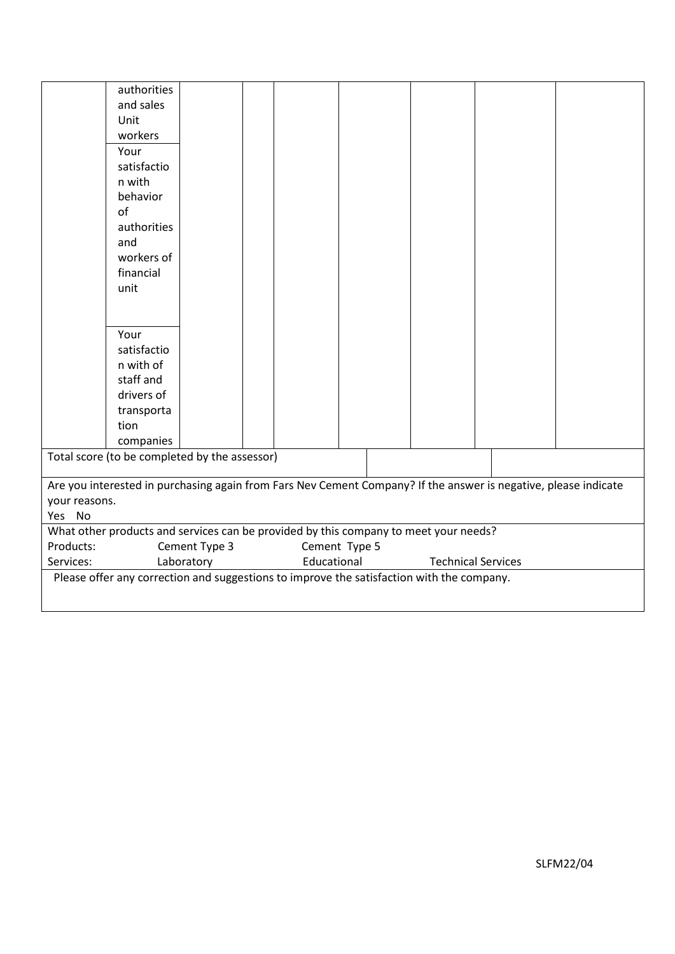|               | authorities                                                                                                     |               |  |               |  |                           |  |
|---------------|-----------------------------------------------------------------------------------------------------------------|---------------|--|---------------|--|---------------------------|--|
|               | and sales                                                                                                       |               |  |               |  |                           |  |
|               | Unit                                                                                                            |               |  |               |  |                           |  |
|               | workers                                                                                                         |               |  |               |  |                           |  |
|               | Your                                                                                                            |               |  |               |  |                           |  |
|               | satisfactio                                                                                                     |               |  |               |  |                           |  |
|               | n with                                                                                                          |               |  |               |  |                           |  |
|               | behavior                                                                                                        |               |  |               |  |                           |  |
|               | of                                                                                                              |               |  |               |  |                           |  |
|               | authorities                                                                                                     |               |  |               |  |                           |  |
|               | and                                                                                                             |               |  |               |  |                           |  |
|               | workers of                                                                                                      |               |  |               |  |                           |  |
|               | financial                                                                                                       |               |  |               |  |                           |  |
|               | unit                                                                                                            |               |  |               |  |                           |  |
|               |                                                                                                                 |               |  |               |  |                           |  |
|               |                                                                                                                 |               |  |               |  |                           |  |
|               | Your                                                                                                            |               |  |               |  |                           |  |
|               | satisfactio                                                                                                     |               |  |               |  |                           |  |
|               | n with of                                                                                                       |               |  |               |  |                           |  |
|               | staff and                                                                                                       |               |  |               |  |                           |  |
|               | drivers of                                                                                                      |               |  |               |  |                           |  |
|               | transporta                                                                                                      |               |  |               |  |                           |  |
|               | tion                                                                                                            |               |  |               |  |                           |  |
|               | companies                                                                                                       |               |  |               |  |                           |  |
|               | Total score (to be completed by the assessor)                                                                   |               |  |               |  |                           |  |
|               |                                                                                                                 |               |  |               |  |                           |  |
|               | Are you interested in purchasing again from Fars Nev Cement Company? If the answer is negative, please indicate |               |  |               |  |                           |  |
| your reasons. |                                                                                                                 |               |  |               |  |                           |  |
| Yes No        |                                                                                                                 |               |  |               |  |                           |  |
|               | What other products and services can be provided by this company to meet your needs?                            |               |  |               |  |                           |  |
| Products:     |                                                                                                                 | Cement Type 3 |  | Cement Type 5 |  |                           |  |
| Services:     |                                                                                                                 | Laboratory    |  | Educational   |  | <b>Technical Services</b> |  |
|               | Please offer any correction and suggestions to improve the satisfaction with the company.                       |               |  |               |  |                           |  |
|               |                                                                                                                 |               |  |               |  |                           |  |
|               |                                                                                                                 |               |  |               |  |                           |  |